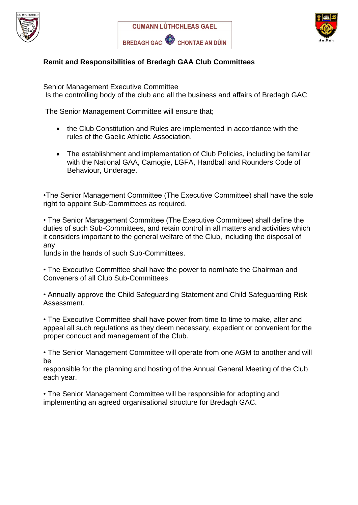





## **Remit and Responsibilities of Bredagh GAA Club Committees**

Senior Management Executive Committee Is the controlling body of the club and all the business and affairs of Bredagh GAC

The Senior Management Committee will ensure that;

- the Club Constitution and Rules are implemented in accordance with the rules of the Gaelic Athletic Association.
- The establishment and implementation of Club Policies, including be familiar with the National GAA, Camogie, LGFA, Handball and Rounders Code of Behaviour, Underage.

•The Senior Management Committee (The Executive Committee) shall have the sole right to appoint Sub-Committees as required.

• The Senior Management Committee (The Executive Committee) shall define the duties of such Sub-Committees, and retain control in all matters and activities which it considers important to the general welfare of the Club, including the disposal of any

funds in the hands of such Sub-Committees.

• The Executive Committee shall have the power to nominate the Chairman and Conveners of all Club Sub-Committees.

• Annually approve the Child Safeguarding Statement and Child Safeguarding Risk Assessment.

• The Executive Committee shall have power from time to time to make, alter and appeal all such regulations as they deem necessary, expedient or convenient for the proper conduct and management of the Club.

• The Senior Management Committee will operate from one AGM to another and will be

responsible for the planning and hosting of the Annual General Meeting of the Club each year.

• The Senior Management Committee will be responsible for adopting and implementing an agreed organisational structure for Bredagh GAC.